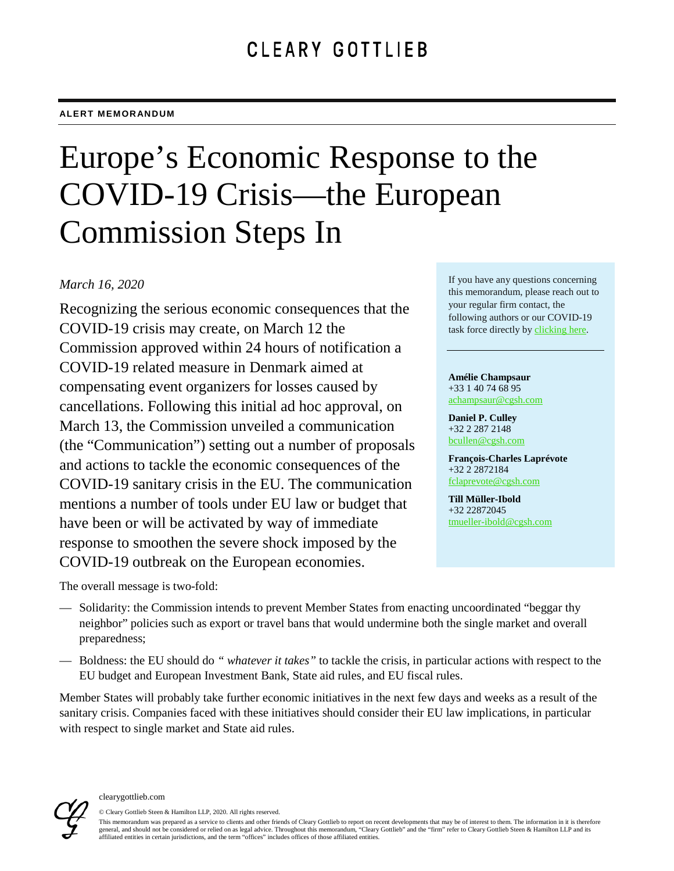#### **ALERT MEMORANDUM**

# Europe's Economic Response to the COVID-19 Crisis—the European Commission Steps In

# *March 16, 2020*

Recognizing the serious economic consequences that the COVID-19 crisis may create, on March 12 the Commission approved within 24 hours of notification a COVID-19 related measure in Denmark aimed at compensating event organizers for losses caused by cancellations. Following this initial ad hoc approval, on March 13, the Commission unveiled a communication (the "Communication") setting out a number of proposals and actions to tackle the economic consequences of the COVID-19 sanitary crisis in the EU. The communication mentions a number of tools under EU law or budget that have been or will be activated by way of immediate response to smoothen the severe shock imposed by the COVID-19 outbreak on the European economies.

The overall message is two-fold:

- Solidarity: the Commission intends to prevent Member States from enacting uncoordinated "beggar thy neighbor" policies such as export or travel bans that would undermine both the single market and overall preparedness;
- Boldness: the EU should do *" whatever it takes"* to tackle the crisis, in particular actions with respect to the EU budget and European Investment Bank, State aid rules, and EU fiscal rules.

Member States will probably take further economic initiatives in the next few days and weeks as a result of the sanitary crisis. Companies faced with these initiatives should consider their EU law implications, in particular with respect to single market and State aid rules.



#### clearygottlieb.com

© Cleary Gottlieb Steen & Hamilton LLP, 2020. All rights reserved. This memorandum was prepared as a service to clients and other friends of Cleary Gottlieb to report on recent developments that may be of interest to them. The information in it is therefore general, and should not be considered or relied on as legal advice. Throughout this memorandum, "Cleary Gottlieb" and the "firm" refer to Cleary Gottlieb Steen & Hamilton LLP and its affiliated entities in certain jurisdictions, and the term "offices" includes offices of those affiliated entities.

If you have any questions concerning this memorandum, please reach out to your regular firm contact, the following authors or our COVID-19 task force directly by [clicking here.](mailto:Global-Cleary_Covid-19_Taskforce@cgsh.com?subject=COVID-19)

**Amélie Champsaur** +33 1 40 74 68 95 [achampsaur@cgsh.com](mailto:achampsaur@cgsh.com)

**Daniel P. Culley** +32 2 287 2148 [bcullen@cgsh.com](mailto:bcullen@cgsh.com)

**François-Charles Laprévote** +32 2 2872184 [fclaprevote@cgsh.com](mailto:fclaprevote@cgsh.com)

**Till Müller-Ibold** +32 22872045 [tmueller-ibold@cgsh.com](mailto:tmueller-ibold@cgsh.com)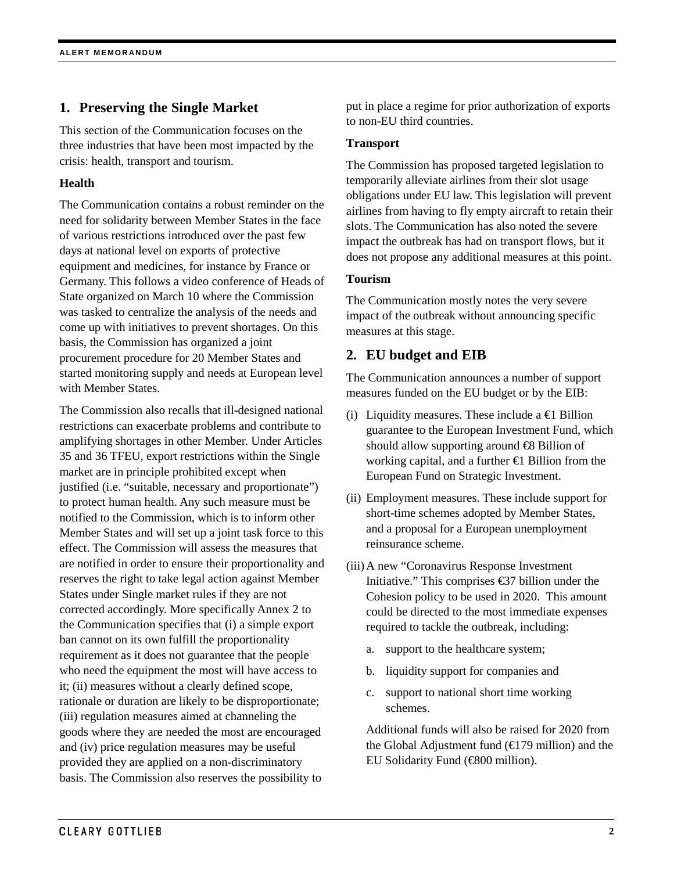# **1. Preserving the Single Market**

This section of the Communication focuses on the three industries that have been most impacted by the crisis: health, transport and tourism.

### **Health**

The Communication contains a robust reminder on the need for solidarity between Member States in the face of various restrictions introduced over the past few days at national level on exports of protective equipment and medicines, for instance by France or Germany. This follows a video conference of Heads of State organized on March 10 where the Commission was tasked to centralize the analysis of the needs and come up with initiatives to prevent shortages. On this basis, the Commission has organized a joint procurement procedure for 20 Member States and started monitoring supply and needs at European level with Member States.

The Commission also recalls that ill-designed national restrictions can exacerbate problems and contribute to amplifying shortages in other Member. Under Articles 35 and 36 TFEU, export restrictions within the Single market are in principle prohibited except when justified (i.e. "suitable, necessary and proportionate") to protect human health. Any such measure must be notified to the Commission, which is to inform other Member States and will set up a joint task force to this effect. The Commission will assess the measures that are notified in order to ensure their proportionality and reserves the right to take legal action against Member States under Single market rules if they are not corrected accordingly. More specifically Annex 2 to the Communication specifies that (i) a simple export ban cannot on its own fulfill the proportionality requirement as it does not guarantee that the people who need the equipment the most will have access to it; (ii) measures without a clearly defined scope, rationale or duration are likely to be disproportionate; (iii) regulation measures aimed at channeling the goods where they are needed the most are encouraged and (iv) price regulation measures may be useful provided they are applied on a non-discriminatory basis. The Commission also reserves the possibility to

put in place a regime for prior authorization of exports to non-EU third countries.

#### **Transport**

The Commission has proposed targeted legislation to temporarily alleviate airlines from their slot usage obligations under EU law. This legislation will prevent airlines from having to fly empty aircraft to retain their slots. The Communication has also noted the severe impact the outbreak has had on transport flows, but it does not propose any additional measures at this point.

#### **Tourism**

The Communication mostly notes the very severe impact of the outbreak without announcing specific measures at this stage.

# **2. EU budget and EIB**

The Communication announces a number of support measures funded on the EU budget or by the EIB:

- (i) Liquidity measures. These include a  $\bigoplus$  Billion guarantee to the European Investment Fund, which should allow supporting around €8 Billion of working capital, and a further  $\bigoplus$  Billion from the European Fund on Strategic Investment.
- (ii) Employment measures. These include support for short-time schemes adopted by Member States, and a proposal for a European unemployment reinsurance scheme.
- (iii)A new "Coronavirus Response Investment Initiative." This comprises €37 billion under the Cohesion policy to be used in 2020. This amount could be directed to the most immediate expenses required to tackle the outbreak, including:
	- a. support to the healthcare system;
	- b. liquidity support for companies and
	- c. support to national short time working schemes.

Additional funds will also be raised for 2020 from the Global Adjustment fund  $(\text{E} 79 \text{ million})$  and the EU Solidarity Fund (€800 million).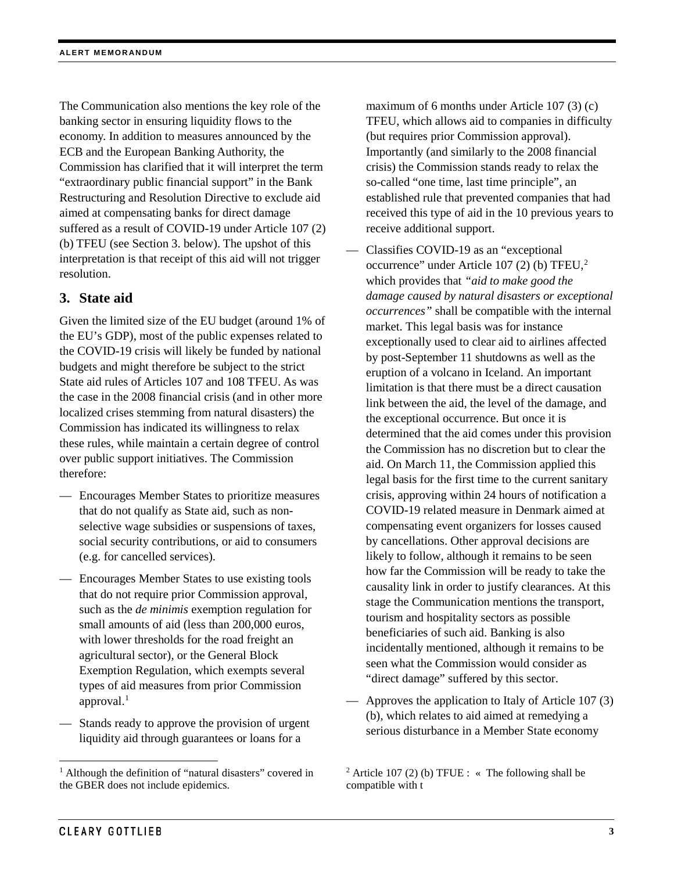The Communication also mentions the key role of the banking sector in ensuring liquidity flows to the economy. In addition to measures announced by the ECB and the European Banking Authority, the Commission has clarified that it will interpret the term "extraordinary public financial support" in the Bank Restructuring and Resolution Directive to exclude aid aimed at compensating banks for direct damage suffered as a result of COVID-19 under Article 107 (2) (b) TFEU (see Section 3. below). The upshot of this interpretation is that receipt of this aid will not trigger resolution.

# **3. State aid**

Given the limited size of the EU budget (around 1% of the EU's GDP), most of the public expenses related to the COVID-19 crisis will likely be funded by national budgets and might therefore be subject to the strict State aid rules of Articles 107 and 108 TFEU. As was the case in the 2008 financial crisis (and in other more localized crises stemming from natural disasters) the Commission has indicated its willingness to relax these rules, while maintain a certain degree of control over public support initiatives. The Commission therefore:

- Encourages Member States to prioritize measures that do not qualify as State aid, such as nonselective wage subsidies or suspensions of taxes, social security contributions, or aid to consumers (e.g. for cancelled services).
- Encourages Member States to use existing tools that do not require prior Commission approval, such as the *de minimis* exemption regulation for small amounts of aid (less than 200,000 euros, with lower thresholds for the road freight an agricultural sector), or the General Block Exemption Regulation, which exempts several types of aid measures from prior Commission approval. $<sup>1</sup>$  $<sup>1</sup>$  $<sup>1</sup>$ </sup>
- Stands ready to approve the provision of urgent liquidity aid through guarantees or loans for a

maximum of 6 months under Article 107 (3) (c) TFEU, which allows aid to companies in difficulty (but requires prior Commission approval). Importantly (and similarly to the 2008 financial crisis) the Commission stands ready to relax the so-called "one time, last time principle", an established rule that prevented companies that had received this type of aid in the 10 previous years to receive additional support.

- Classifies COVID-19 as an "exceptional occurrence" under Article 107 (2) (b) TFEU,[2](#page-2-0) which provides that *"aid to make good the damage caused by natural disasters or exceptional occurrences"* shall be compatible with the internal market. This legal basis was for instance exceptionally used to clear aid to airlines affected by post-September 11 shutdowns as well as the eruption of a volcano in Iceland. An important limitation is that there must be a direct causation link between the aid, the level of the damage, and the exceptional occurrence. But once it is determined that the aid comes under this provision the Commission has no discretion but to clear the aid. On March 11, the Commission applied this legal basis for the first time to the current sanitary crisis, approving within 24 hours of notification a COVID-19 related measure in Denmark aimed at compensating event organizers for losses caused by cancellations. Other approval decisions are likely to follow, although it remains to be seen how far the Commission will be ready to take the causality link in order to justify clearances. At this stage the Communication mentions the transport, tourism and hospitality sectors as possible beneficiaries of such aid. Banking is also incidentally mentioned, although it remains to be seen what the Commission would consider as "direct damage" suffered by this sector.
- Approves the application to Italy of Article 107 (3) (b), which relates to aid aimed at remedying a serious disturbance in a Member State economy

<span id="page-2-0"></span><sup>&</sup>lt;sup>1</sup> Although the definition of "natural disasters" covered in the GBER does not include epidemics.

<sup>&</sup>lt;sup>2</sup> Article 107 (2) (b) TFUE : « The following shall be compatible with t